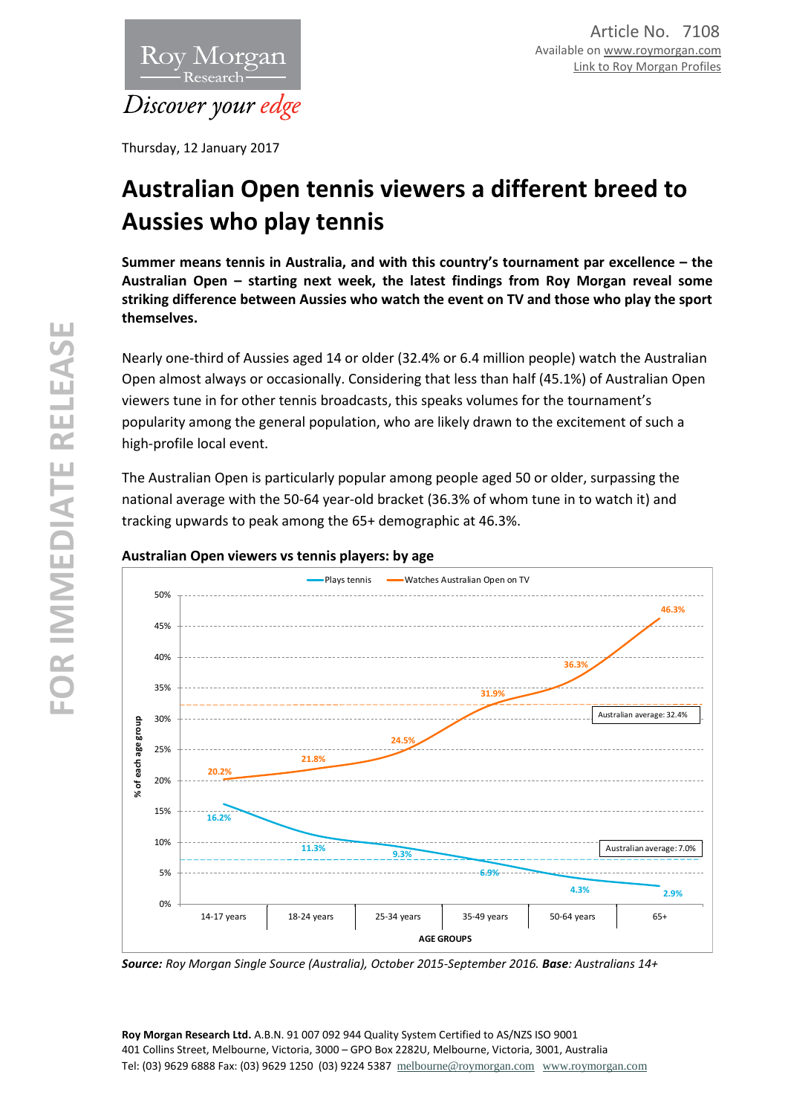

Thursday, 12 January 2017

# **Australian Open tennis viewers a different breed to Aussies who play tennis**

**Summer means tennis in Australia, and with this country's tournament par excellence – the Australian Open – starting next week, the latest findings from Roy Morgan reveal some striking difference between Aussies who watch the event on TV and those who play the sport themselves.**

Nearly one-third of Aussies aged 14 or older (32.4% or 6.4 million people) watch the Australian Open almost always or occasionally. Considering that less than half (45.1%) of Australian Open viewers tune in for other tennis broadcasts, this speaks volumes for the tournament's popularity among the general population, who are likely drawn to the excitement of such a high-profile local event.

The Australian Open is particularly popular among people aged 50 or older, surpassing the national average with the 50-64 year-old bracket (36.3% of whom tune in to watch it) and tracking upwards to peak among the 65+ demographic at 46.3%.



## **Australian Open viewers vs tennis players: by age**

*Source: Roy Morgan Single Source (Australia), October 2015-September 2016. Base: Australians 14+*

**Roy Morgan Research Ltd.** A.B.N. 91 007 092 944 Quality System Certified to AS/NZS ISO 9001 401 Collins Street, Melbourne, Victoria, 3000 – GPO Box 2282U, Melbourne, Victoria, 3001, Australia Tel: (03) 9629 6888 Fax: (03) 9629 1250 (03) 9224 5387 [melbourne@roymorgan.com](mailto:melbourne@roymorgan.com) [www.roymorgan.com](http://www.roymorgan.com/)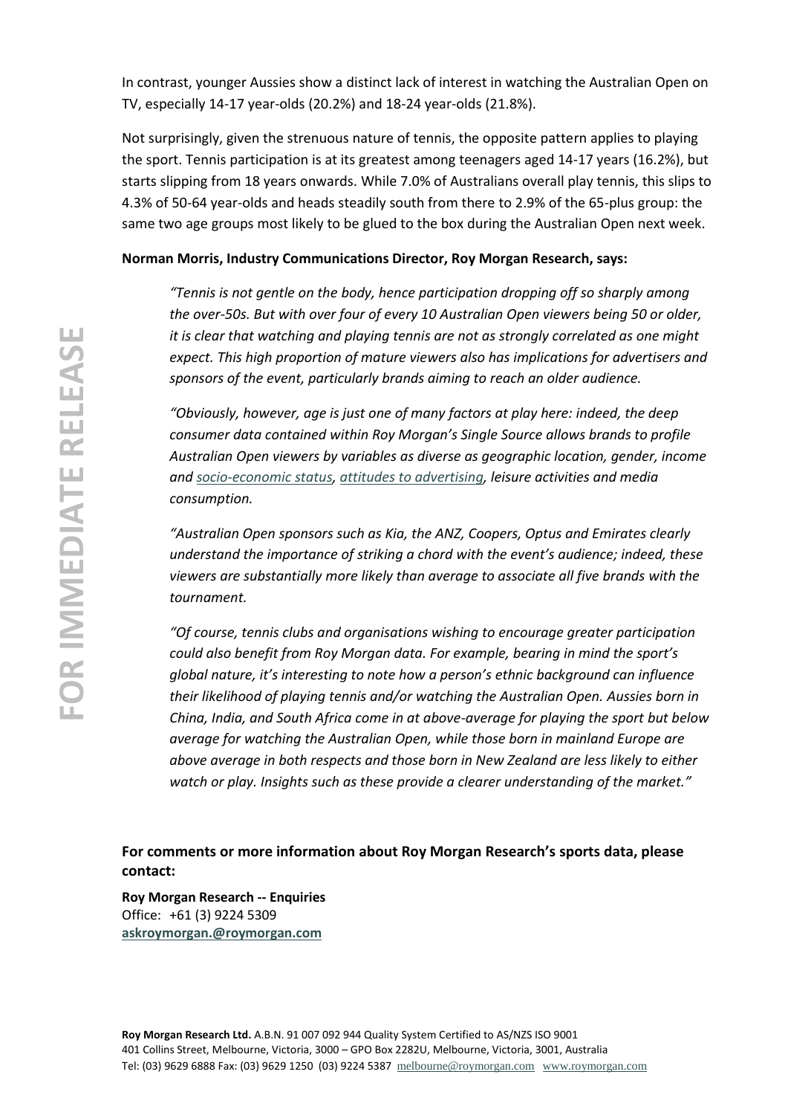In contrast, younger Aussies show a distinct lack of interest in watching the Australian Open on TV, especially 14-17 year-olds (20.2%) and 18-24 year-olds (21.8%).

Not surprisingly, given the strenuous nature of tennis, the opposite pattern applies to playing the sport. Tennis participation is at its greatest among teenagers aged 14-17 years (16.2%), but starts slipping from 18 years onwards. While 7.0% of Australians overall play tennis, this slips to 4.3% of 50-64 year-olds and heads steadily south from there to 2.9% of the 65-plus group: the same two age groups most likely to be glued to the box during the Australian Open next week.

## **Norman Morris, Industry Communications Director, Roy Morgan Research, says:**

*"Tennis is not gentle on the body, hence participation dropping off so sharply among the over-50s. But with over four of every 10 Australian Open viewers being 50 or older, it is clear that watching and playing tennis are not as strongly correlated as one might expect. This high proportion of mature viewers also has implications for advertisers and sponsors of the event, particularly brands aiming to reach an older audience.*

*"Obviously, however, age is just one of many factors at play here: indeed, the deep consumer data contained within Roy Morgan's Single Source allows brands to profile Australian Open viewers by variables as diverse as geographic location, gender, income and [socio-economic status,](http://www.roymorgan.com.au/findings/6317-tennis-cycling-and-socioeconomic-advantage-201506302247) [attitudes to advertising,](http://www.roymorgan.com.au/findings/6867-tennis-viewers-a-valuable-audience-201606271623) leisure activities and media consumption.* 

*"Australian Open sponsors such as Kia, the ANZ, Coopers, Optus and Emirates clearly understand the importance of striking a chord with the event's audience; indeed, these viewers are substantially more likely than average to associate all five brands with the tournament.*

*"Of course, tennis clubs and organisations wishing to encourage greater participation could also benefit from Roy Morgan data. For example, bearing in mind the sport's global nature, it's interesting to note how a person's ethnic background can influence their likelihood of playing tennis and/or watching the Australian Open. Aussies born in China, India, and South Africa come in at above-average for playing the sport but below average for watching the Australian Open, while those born in mainland Europe are above average in both respects and those born in New Zealand are less likely to either watch or play. Insights such as these provide a clearer understanding of the market."*

**For comments or more information about Roy Morgan Research's sports data, please contact:**

**Roy Morgan Research -- Enquiries** Office: +61 (3) 9224 5309 **[askroymorgan.@roymorgan.com](mailto:askroymorgan.@roymorgan.com)**